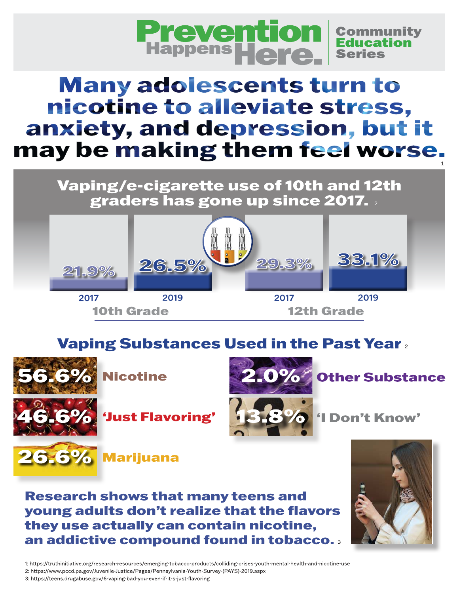

# **Many adolescents turn to** nicotine to alleviate stress, anxiety, and depression, but it may be making them feel worse.

Vaping/e-cigarette use of 10th and 12th graders has gone up since 2017.



### **Vaping Substances Used in the Past Year.**







'Just Flavoring'



'I Don't Know'

**Other Substance** 





1: https://truthinitiative.org/research-resources/emerging-tobacco-products/colliding-crises-youth-mental-health-and-nicotine-use 2: https://www.pccd.pa.gov/Juvenile-Justice/Pages/Pennsylvania-Youth-Survey-(PAYS)-2019.aspx

3: https://teens.drugabuse.gov/6-vaping-bad-you-even-if-it-s-just-flavoring

6.6% Marijuana